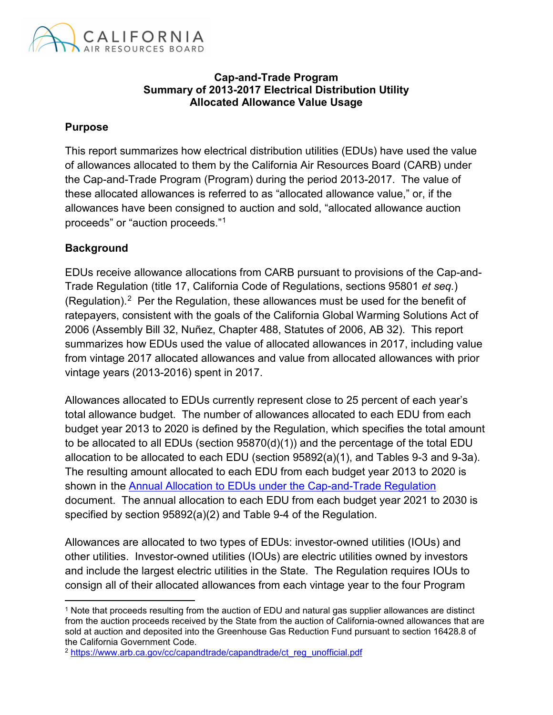

#### **Cap-and-Trade Program Summary of 2013-2017 Electrical Distribution Utility Allocated Allowance Value Usage**

#### **Purpose**

This report summarizes how electrical distribution utilities (EDUs) have used the value of allowances allocated to them by the California Air Resources Board (CARB) under the Cap-and-Trade Program (Program) during the period 2013-2017. The value of these allocated allowances is referred to as "allocated allowance value," or, if the allowances have been consigned to auction and sold, "allocated allowance auction proceeds" or "auction proceeds."[1](#page-0-0)

### **Background**

l

EDUs receive allowance allocations from CARB pursuant to provisions of the Cap-and-Trade Regulation (title 17, California Code of Regulations, sections 95801 *et seq.*) (Regulation).<sup>2</sup> Per the Regulation, these allowances must be used for the benefit of ratepayers, consistent with the goals of the California Global Warming Solutions Act of 2006 (Assembly Bill 32, Nuñez, Chapter 488, Statutes of 2006, AB 32). This report summarizes how EDUs used the value of allocated allowances in 2017, including value from vintage 2017 allocated allowances and value from allocated allowances with prior vintage years (2013-2016) spent in 2017.

Allowances allocated to EDUs currently represent close to 25 percent of each year's total allowance budget. The number of allowances allocated to each EDU from each budget year 2013 to 2020 is defined by the Regulation, which specifies the total amount to be allocated to all EDUs (section 95870(d)(1)) and the percentage of the total EDU allocation to be allocated to each EDU (section 95892(a)(1), and Tables 9-3 and 9-3a). The resulting amount allocated to each EDU from each budget year 2013 to 2020 is shown in the Annual Allocation to EDUs [under the Cap-and-Trade Regulation](https://www.arb.ca.gov/cc/capandtrade/allowanceallocation/edu-ng-allowancedistribution/electricity-allocation.xlsx) document. The annual allocation to each EDU from each budget year 2021 to 2030 is specified by section 95892(a)(2) and Table 9-4 of the Regulation.

Allowances are allocated to two types of EDUs: investor-owned utilities (IOUs) and other utilities. Investor-owned utilities (IOUs) are electric utilities owned by investors and include the largest electric utilities in the State. The Regulation requires IOUs to consign all of their allocated allowances from each vintage year to the four Program

<span id="page-0-0"></span><sup>1</sup> Note that proceeds resulting from the auction of EDU and natural gas supplier allowances are distinct from the auction proceeds received by the State from the auction of California-owned allowances that are sold at auction and deposited into the Greenhouse Gas Reduction Fund pursuant to section 16428.8 of the California Government Code.

<span id="page-0-1"></span><sup>2</sup> [https://www.arb.ca.gov/cc/capandtrade/capandtrade/ct\\_reg\\_unofficial.pdf](https://www.arb.ca.gov/cc/capandtrade/ct_reg_unofficial.pdf)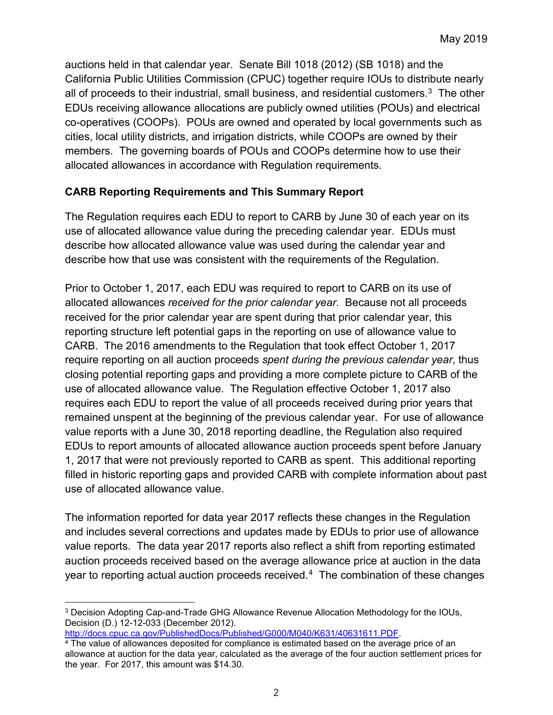auctions held in that calendar year. Senate Bill 1018 (2012) (SB 1018) and the California Public Utilities Commission (CPUC) together require IOUs to distribute nearly all of proceeds to their industrial, small business, and residential customers.<sup>[3](#page-1-0)</sup> The other EDUs receiving allowance allocations are publicly owned utilities (POUs) and electrical co-operatives (COOPs). POUs are owned and operated by local governments such as cities, local utility districts, and irrigation districts, while COOPs are owned by their members. The governing boards of POUs and COOPs determine how to use their allocated allowances in accordance with Regulation requirements.

### **CARB Reporting Requirements and This Summary Report**

The Regulation requires each EDU to report to CARB by June 30 of each year on its use of allocated allowance value during the preceding calendar year. EDUs must describe how allocated allowance value was used during the calendar year and describe how that use was consistent with the requirements of the Regulation.

Prior to October 1, 2017, each EDU was required to report to CARB on its use of allocated allowances *received for the prior calendar year*. Because not all proceeds received for the prior calendar year are spent during that prior calendar year, this reporting structure left potential gaps in the reporting on use of allowance value to CARB. The 2016 amendments to the Regulation that took effect October 1, 2017 require reporting on all auction proceeds *spent during the previous calendar year*, thus closing potential reporting gaps and providing a more complete picture to CARB of the use of allocated allowance value. The Regulation effective October 1, 2017 also requires each EDU to report the value of all proceeds received during prior years that remained unspent at the beginning of the previous calendar year. For use of allowance value reports with a June 30, 2018 reporting deadline, the Regulation also required EDUs to report amounts of allocated allowance auction proceeds spent before January 1, 2017 that were not previously reported to CARB as spent. This additional reporting filled in historic reporting gaps and provided CARB with complete information about past use of allocated allowance value.

The information reported for data year 2017 reflects these changes in the Regulation and includes several corrections and updates made by EDUs to prior use of allowance value reports. The data year 2017 reports also reflect a shift from reporting estimated auction proceeds received based on the average allowance price at auction in the data year to reporting actual auction proceeds received. $\rm ^4$  The combination of these changes

[http://docs.cpuc.ca.gov/PublishedDocs/Published/G000/M040/K631/40631611.PDF.](http://docs.cpuc.ca.gov/PublishedDocs/Published/G000/M040/K631/40631611.PDF)

 $\overline{\phantom{a}}$ 

<span id="page-1-0"></span><sup>3</sup> Decision Adopting Cap-and-Trade GHG Allowance Revenue Allocation Methodology for the IOUs, Decision (D.) 12-12-033 (December 2012).

<span id="page-1-1"></span><sup>4</sup> The value of allowances deposited for compliance is estimated based on the average price of an allowance at auction for the data year, calculated as the average of the four auction settlement prices for the year. For 2017, this amount was \$14.30.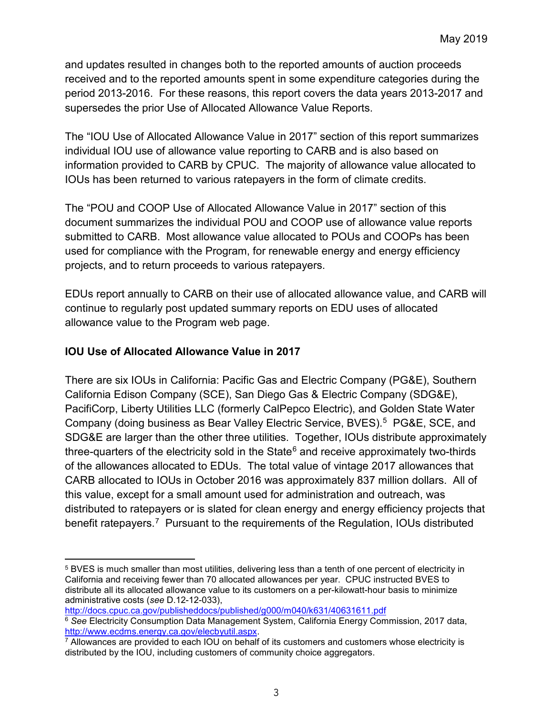and updates resulted in changes both to the reported amounts of auction proceeds received and to the reported amounts spent in some expenditure categories during the period 2013-2016. For these reasons, this report covers the data years 2013-2017 and supersedes the prior Use of Allocated Allowance Value Reports.

The "IOU Use of Allocated Allowance Value in 2017" section of this report summarizes individual IOU use of allowance value reporting to CARB and is also based on information provided to CARB by CPUC. The majority of allowance value allocated to IOUs has been returned to various ratepayers in the form of climate credits.

The "POU and COOP Use of Allocated Allowance Value in 2017" section of this document summarizes the individual POU and COOP use of allowance value reports submitted to CARB. Most allowance value allocated to POUs and COOPs has been used for compliance with the Program, for renewable energy and energy efficiency projects, and to return proceeds to various ratepayers.

EDUs report annually to CARB on their use of allocated allowance value, and CARB will continue to regularly post updated summary reports on EDU uses of allocated allowance value to the Program web page.

### **IOU Use of Allocated Allowance Value in 2017**

There are six IOUs in California: Pacific Gas and Electric Company (PG&E), Southern California Edison Company (SCE), San Diego Gas & Electric Company (SDG&E), PacifiCorp, Liberty Utilities LLC (formerly CalPepco Electric), and Golden State Water Company (doing business as Bear Valley Electric Service, BVES). [5](#page-2-0) PG&E, SCE, and SDG&E are larger than the other three utilities. Together, IOUs distribute approximately three-quarters of the electricity sold in the State $6$  and receive approximately two-thirds of the allowances allocated to EDUs. The total value of vintage 2017 allowances that CARB allocated to IOUs in October 2016 was approximately 837 million dollars. All of this value, except for a small amount used for administration and outreach, was distributed to ratepayers or is slated for clean energy and energy efficiency projects that benefit ratepayers.<sup>[7](#page-2-2)</sup> Pursuant to the requirements of the Regulation, IOUs distributed

<span id="page-2-0"></span> $\overline{a}$ <sup>5</sup> BVES is much smaller than most utilities, delivering less than a tenth of one percent of electricity in California and receiving fewer than 70 allocated allowances per year. CPUC instructed BVES to distribute all its allocated allowance value to its customers on a per-kilowatt-hour basis to minimize administrative costs (*see* D.12-12-033),

<span id="page-2-1"></span><http://docs.cpuc.ca.gov/publisheddocs/published/g000/m040/k631/40631611.pdf> <sup>6</sup> *See* Electricity Consumption Data Management System, California Energy Commission, 2017 data, [http://www.ecdms.energy.ca.gov/elecbyutil.aspx.](http://www.ecdms.energy.ca.gov/elecbyutil.aspx)

<span id="page-2-2"></span> $7$  Allowances are provided to each IOU on behalf of its customers and customers whose electricity is distributed by the IOU, including customers of community choice aggregators.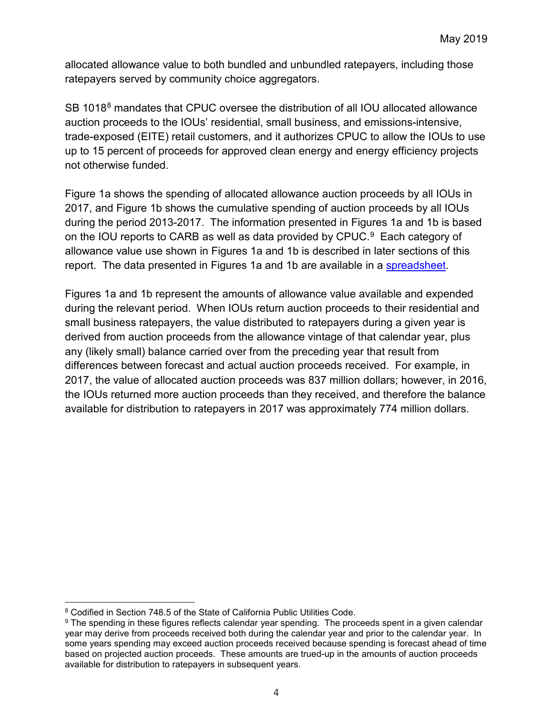allocated allowance value to both bundled and unbundled ratepayers, including those ratepayers served by community choice aggregators.

SB 101[8](#page-3-0)<sup>8</sup> mandates that CPUC oversee the distribution of all IOU allocated allowance auction proceeds to the IOUs' residential, small business, and emissions-intensive, trade-exposed (EITE) retail customers, and it authorizes CPUC to allow the IOUs to use up to 15 percent of proceeds for approved clean energy and energy efficiency projects not otherwise funded.

Figure 1a shows the spending of allocated allowance auction proceeds by all IOUs in 2017, and Figure 1b shows the cumulative spending of auction proceeds by all IOUs during the period 2013-2017. The information presented in Figures 1a and 1b is based on the IOU reports to CARB as well as data provided by CPUC. [9](#page-3-1) Each category of allowance value use shown in Figures 1a and 1b is described in later sections of this report. The data presented in Figures 1a and 1b are available in a [spreadsheet.](https://www.arb.ca.gov/cc/capandtrade/allowanceallocation/EDU-NG-allowance-value.htm)

Figures 1a and 1b represent the amounts of allowance value available and expended during the relevant period. When IOUs return auction proceeds to their residential and small business ratepayers, the value distributed to ratepayers during a given year is derived from auction proceeds from the allowance vintage of that calendar year, plus any (likely small) balance carried over from the preceding year that result from differences between forecast and actual auction proceeds received. For example, in 2017, the value of allocated auction proceeds was 837 million dollars; however, in 2016, the IOUs returned more auction proceeds than they received, and therefore the balance available for distribution to ratepayers in 2017 was approximately 774 million dollars.

<span id="page-3-0"></span> $\overline{\phantom{a}}$ <sup>8</sup> Codified in Section 748.5 of the State of California Public Utilities Code.

<span id="page-3-1"></span><sup>&</sup>lt;sup>9</sup> The spending in these figures reflects calendar year spending. The proceeds spent in a given calendar year may derive from proceeds received both during the calendar year and prior to the calendar year. In some years spending may exceed auction proceeds received because spending is forecast ahead of time based on projected auction proceeds. These amounts are trued-up in the amounts of auction proceeds available for distribution to ratepayers in subsequent years.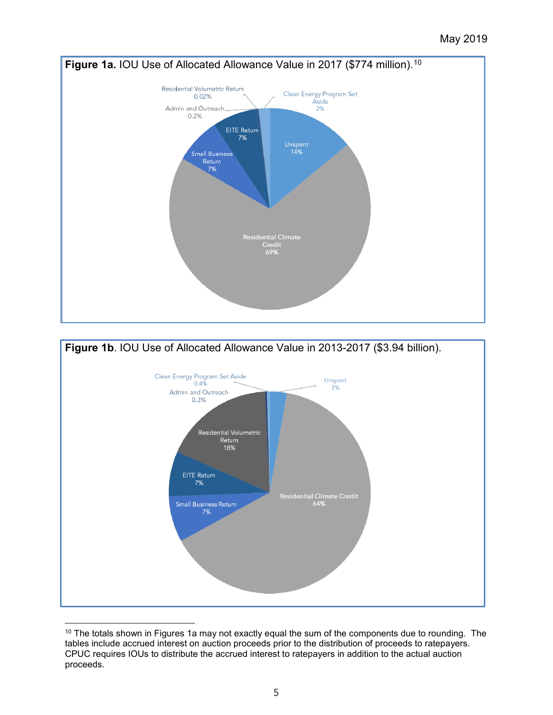



<span id="page-4-0"></span> $10$  The totals shown in Figures 1a may not exactly equal the sum of the components due to rounding. The tables include accrued interest on auction proceeds prior to the distribution of proceeds to ratepayers. CPUC requires IOUs to distribute the accrued interest to ratepayers in addition to the actual auction proceeds.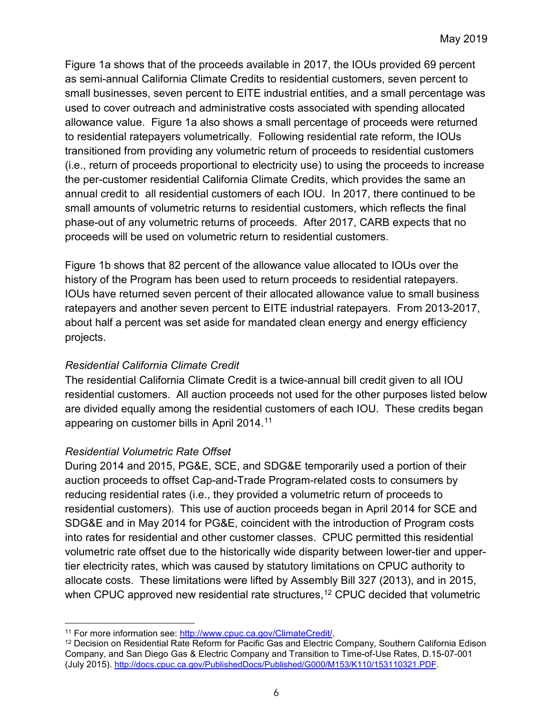Figure 1a shows that of the proceeds available in 2017, the IOUs provided 69 percent as semi-annual California Climate Credits to residential customers, seven percent to small businesses, seven percent to EITE industrial entities, and a small percentage was used to cover outreach and administrative costs associated with spending allocated allowance value. Figure 1a also shows a small percentage of proceeds were returned to residential ratepayers volumetrically. Following residential rate reform, the IOUs transitioned from providing any volumetric return of proceeds to residential customers (i.e., return of proceeds proportional to electricity use) to using the proceeds to increase the per-customer residential California Climate Credits, which provides the same an annual credit to all residential customers of each IOU. In 2017, there continued to be small amounts of volumetric returns to residential customers, which reflects the final phase-out of any volumetric returns of proceeds. After 2017, CARB expects that no proceeds will be used on volumetric return to residential customers.

Figure 1b shows that 82 percent of the allowance value allocated to IOUs over the history of the Program has been used to return proceeds to residential ratepayers. IOUs have returned seven percent of their allocated allowance value to small business ratepayers and another seven percent to EITE industrial ratepayers. From 2013-2017, about half a percent was set aside for mandated clean energy and energy efficiency projects.

# *Residential California Climate Credit*

The residential California Climate Credit is a twice-annual bill credit given to all IOU residential customers. All auction proceeds not used for the other purposes listed below are divided equally among the residential customers of each IOU. These credits began appearing on customer bills in April 2014.[11](#page-5-0)

### *Residential Volumetric Rate Offset*

During 2014 and 2015, PG&E, SCE, and SDG&E temporarily used a portion of their auction proceeds to offset Cap-and-Trade Program-related costs to consumers by reducing residential rates (i.e., they provided a volumetric return of proceeds to residential customers). This use of auction proceeds began in April 2014 for SCE and SDG&E and in May 2014 for PG&E, coincident with the introduction of Program costs into rates for residential and other customer classes. CPUC permitted this residential volumetric rate offset due to the historically wide disparity between lower-tier and uppertier electricity rates, which was caused by statutory limitations on CPUC authority to allocate costs. These limitations were lifted by Assembly Bill 327 (2013), and in 2015, when CPUC approved new residential rate structures,<sup>[12](#page-5-1)</sup> CPUC decided that volumetric

 $\overline{a}$ <sup>11</sup> For more information see: [http://www.cpuc.ca.gov/ClimateCredit/.](http://www.cpuc.ca.gov/ClimateCredit/)

<span id="page-5-1"></span><span id="page-5-0"></span><sup>12</sup> Decision on Residential Rate Reform for Pacific Gas and Electric Company, Southern California Edison Company, and San Diego Gas & Electric Company and Transition to Time-of-Use Rates, D.15-07-001 (July 2015). [http://docs.cpuc.ca.gov/PublishedDocs/Published/G000/M153/K110/153110321.PDF.](http://docs.cpuc.ca.gov/PublishedDocs/Published/G000/M153/K110/153110321.PDF)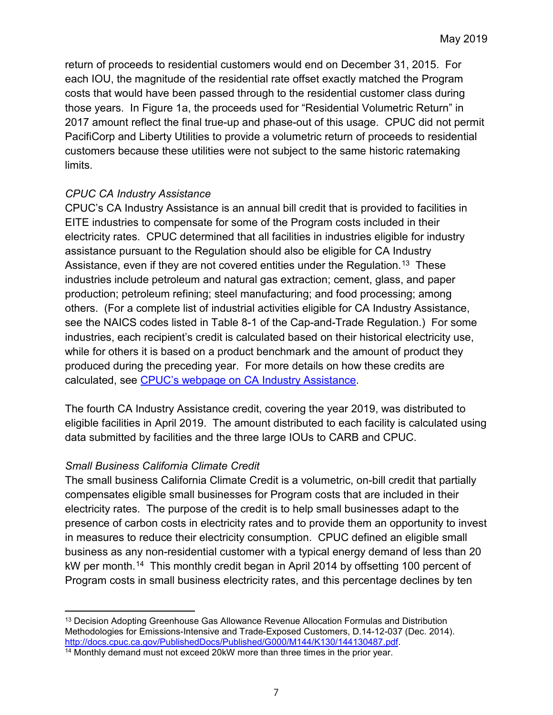return of proceeds to residential customers would end on December 31, 2015. For each IOU, the magnitude of the residential rate offset exactly matched the Program costs that would have been passed through to the residential customer class during those years. In Figure 1a, the proceeds used for "Residential Volumetric Return" in 2017 amount reflect the final true-up and phase-out of this usage. CPUC did not permit PacifiCorp and Liberty Utilities to provide a volumetric return of proceeds to residential customers because these utilities were not subject to the same historic ratemaking limits.

### *CPUC CA Industry Assistance*

CPUC's CA Industry Assistance is an annual bill credit that is provided to facilities in EITE industries to compensate for some of the Program costs included in their electricity rates. CPUC determined that all facilities in industries eligible for industry assistance pursuant to the Regulation should also be eligible for CA Industry Assistance, even if they are not covered entities under the Regulation.<sup>13</sup> These industries include petroleum and natural gas extraction; cement, glass, and paper production; petroleum refining; steel manufacturing; and food processing; among others. (For a complete list of industrial activities eligible for CA Industry Assistance, see the NAICS codes listed in Table 8-1 of the Cap-and-Trade Regulation.) For some industries, each recipient's credit is calculated based on their historical electricity use, while for others it is based on a product benchmark and the amount of product they produced during the preceding year. For more details on how these credits are calculated, see [CPUC's webpage on CA Industry Assistance.](http://www.cpuc.ca.gov/industryassistance/)

The fourth CA Industry Assistance credit, covering the year 2019, was distributed to eligible facilities in April 2019. The amount distributed to each facility is calculated using data submitted by facilities and the three large IOUs to CARB and CPUC.

# *Small Business California Climate Credit*

The small business California Climate Credit is a volumetric, on-bill credit that partially compensates eligible small businesses for Program costs that are included in their electricity rates. The purpose of the credit is to help small businesses adapt to the presence of carbon costs in electricity rates and to provide them an opportunity to invest in measures to reduce their electricity consumption. CPUC defined an eligible small business as any non-residential customer with a typical energy demand of less than 20 kW per month.<sup>[14](#page-6-1)</sup> This monthly credit began in April 2014 by offsetting 100 percent of Program costs in small business electricity rates, and this percentage declines by ten

<span id="page-6-0"></span>l <sup>13</sup> Decision Adopting Greenhouse Gas Allowance Revenue Allocation Formulas and Distribution Methodologies for Emissions-Intensive and Trade-Exposed Customers, D.14-12-037 (Dec. 2014). [http://docs.cpuc.ca.gov/PublishedDocs/Published/G000/M144/K130/144130487.pdf.](http://docs.cpuc.ca.gov/PublishedDocs/Published/G000/M144/K130/144130487.pdf)

<span id="page-6-1"></span><sup>&</sup>lt;sup>14</sup> Monthly demand must not exceed 20kW more than three times in the prior year.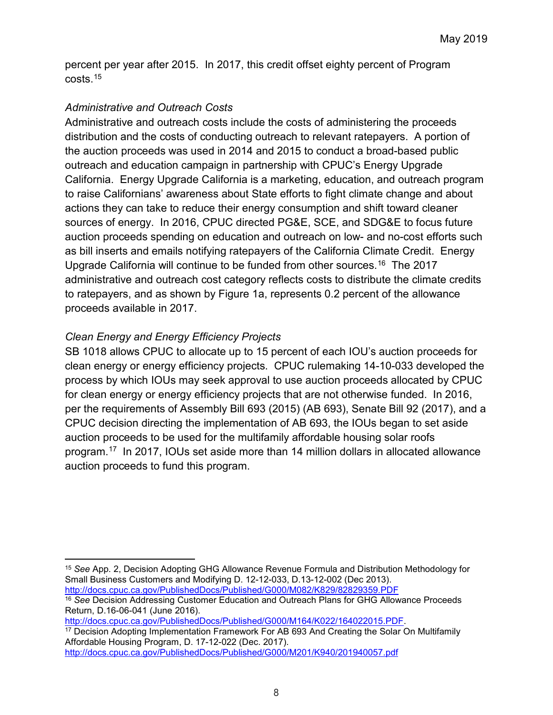percent per year after 2015. In 2017, this credit offset eighty percent of Program  $costs$ <sup> $15$ </sup>

### *Administrative and Outreach Costs*

Administrative and outreach costs include the costs of administering the proceeds distribution and the costs of conducting outreach to relevant ratepayers. A portion of the auction proceeds was used in 2014 and 2015 to conduct a broad-based public outreach and education campaign in partnership with CPUC's Energy Upgrade California. Energy Upgrade California is a marketing, education, and outreach program to raise Californians' awareness about State efforts to fight climate change and about actions they can take to reduce their energy consumption and shift toward cleaner sources of energy. In 2016, CPUC directed PG&E, SCE, and SDG&E to focus future auction proceeds spending on education and outreach on low- and no-cost efforts such as bill inserts and emails notifying ratepayers of the California Climate Credit. Energy Upgrade California will continue to be funded from other sources.[16](#page-7-1) The 2017 administrative and outreach cost category reflects costs to distribute the climate credits to ratepayers, and as shown by Figure 1a, represents 0.2 percent of the allowance proceeds available in 2017.

# *Clean Energy and Energy Efficiency Projects*

SB 1018 allows CPUC to allocate up to 15 percent of each IOU's auction proceeds for clean energy or energy efficiency projects. CPUC rulemaking 14-10-033 developed the process by which IOUs may seek approval to use auction proceeds allocated by CPUC for clean energy or energy efficiency projects that are not otherwise funded. In 2016, per the requirements of Assembly Bill 693 (2015) (AB 693), Senate Bill 92 (2017), and a CPUC decision directing the implementation of AB 693, the IOUs began to set aside auction proceeds to be used for the multifamily affordable housing solar roofs program[.17](#page-7-2) In 2017, IOUs set aside more than 14 million dollars in allocated allowance auction proceeds to fund this program.

<span id="page-7-1"></span><sup>16</sup> *See* Decision Addressing Customer Education and Outreach Plans for GHG Allowance Proceeds Return, D.16-06-041 (June 2016).

[http://docs.cpuc.ca.gov/PublishedDocs/Published/G000/M164/K022/164022015.PDF.](http://docs.cpuc.ca.gov/PublishedDocs/Published/G000/M164/K022/164022015.PDF)

<span id="page-7-2"></span><sup>17</sup> Decision Adopting Implementation Framework For AB 693 And Creating the Solar On Multifamily Affordable Housing Program, D. 17-12-022 (Dec. 2017).

<span id="page-7-0"></span> $\overline{a}$ <sup>15</sup> *See* App. 2, Decision Adopting GHG Allowance Revenue Formula and Distribution Methodology for Small Business Customers and Modifying D. 12-12-033, D.13-12-002 (Dec 2013). <http://docs.cpuc.ca.gov/PublishedDocs/Published/G000/M082/K829/82829359.PDF>

<http://docs.cpuc.ca.gov/PublishedDocs/Published/G000/M201/K940/201940057.pdf>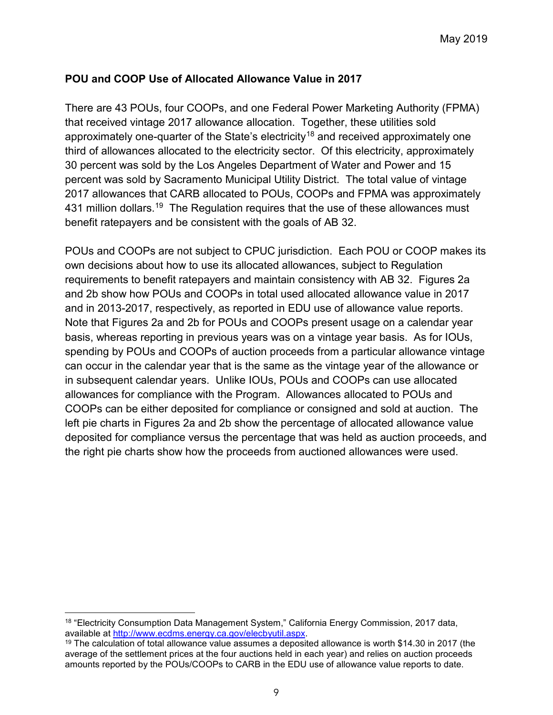### **POU and COOP Use of Allocated Allowance Value in 2017**

There are 43 POUs, four COOPs, and one Federal Power Marketing Authority (FPMA) that received vintage 2017 allowance allocation. Together, these utilities sold approximately one-quarter of the State's electricity<sup>[18](#page-8-0)</sup> and received approximately one third of allowances allocated to the electricity sector. Of this electricity, approximately 30 percent was sold by the Los Angeles Department of Water and Power and 15 percent was sold by Sacramento Municipal Utility District. The total value of vintage 2017 allowances that CARB allocated to POUs, COOPs and FPMA was approximately 431 million dollars. $^{19}$  The Regulation requires that the use of these allowances must benefit ratepayers and be consistent with the goals of AB 32.

POUs and COOPs are not subject to CPUC jurisdiction. Each POU or COOP makes its own decisions about how to use its allocated allowances, subject to Regulation requirements to benefit ratepayers and maintain consistency with AB 32. Figures 2a and 2b show how POUs and COOPs in total used allocated allowance value in 2017 and in 2013-2017, respectively, as reported in EDU use of allowance value reports. Note that Figures 2a and 2b for POUs and COOPs present usage on a calendar year basis, whereas reporting in previous years was on a vintage year basis. As for IOUs, spending by POUs and COOPs of auction proceeds from a particular allowance vintage can occur in the calendar year that is the same as the vintage year of the allowance or in subsequent calendar years. Unlike IOUs, POUs and COOPs can use allocated allowances for compliance with the Program. Allowances allocated to POUs and COOPs can be either deposited for compliance or consigned and sold at auction. The left pie charts in Figures 2a and 2b show the percentage of allocated allowance value deposited for compliance versus the percentage that was held as auction proceeds, and the right pie charts show how the proceeds from auctioned allowances were used.

l

<span id="page-8-0"></span><sup>&</sup>lt;sup>18</sup> "Electricity Consumption Data Management System," California Energy Commission, 2017 data, available at [http://www.ecdms.energy.ca.gov/elecbyutil.aspx.](http://www.ecdms.energy.ca.gov/elecbyutil.aspx)

<span id="page-8-1"></span><sup>19</sup> The calculation of total allowance value assumes a deposited allowance is worth \$14.30 in 2017 (the average of the settlement prices at the four auctions held in each year) and relies on auction proceeds amounts reported by the POUs/COOPs to CARB in the EDU use of allowance value reports to date.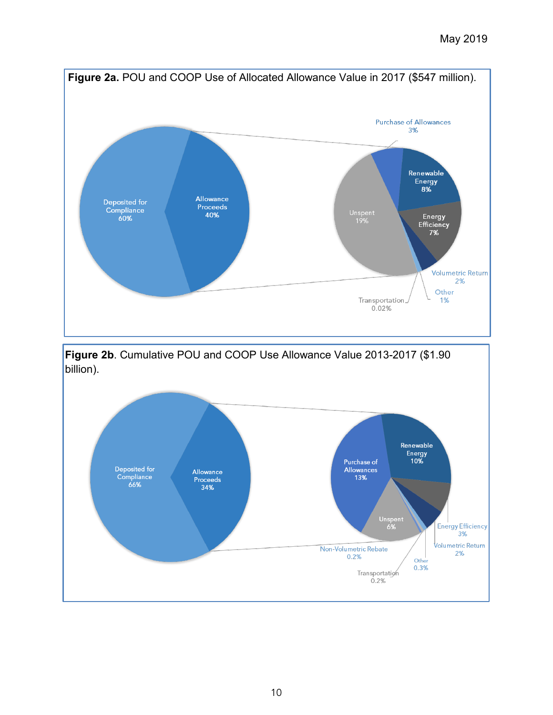